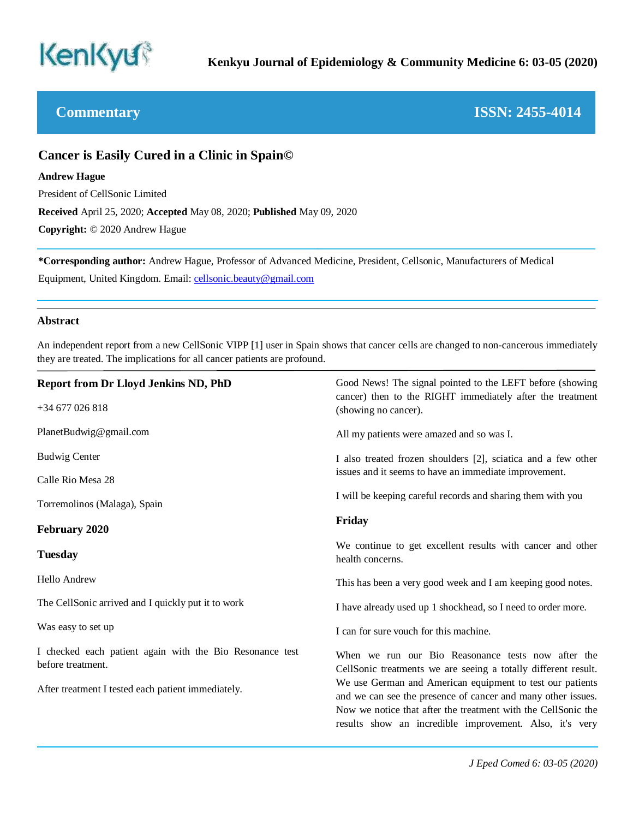

# **Commentary ISSN: 2455-4014**

# **Cancer is Easily Cured in a Clinic in Spain©**

### **Andrew Hague**

President of CellSonic Limited

**Received** April 25, 2020; **Accepted** May 08, 2020; **Published** May 09, 2020

**Copyright:** © 2020 Andrew Hague

**\*Corresponding author:** Andrew Hague, Professor of Advanced Medicine, President, Cellsonic, Manufacturers of Medical Equipment, United Kingdom. Email[: cellsonic.beauty@gmail.com](mailto:cellsonic.beauty@gmail.com)

### **Abstract**

An independent report from a new CellSonic VIPP [1] user in Spain shows that cancer cells are changed to non-cancerous immediately they are treated. The implications for all cancer patients are profound.

| <b>Report from Dr Lloyd Jenkins ND, PhD</b>                                   | Good News! The signal pointed to the LEFT before (showing<br>cancer) then to the RIGHT immediately after the treatment    |
|-------------------------------------------------------------------------------|---------------------------------------------------------------------------------------------------------------------------|
| $+34677026818$                                                                | (showing no cancer).                                                                                                      |
| PlanetBudwig@gmail.com                                                        | All my patients were amazed and so was I.                                                                                 |
| <b>Budwig Center</b>                                                          | I also treated frozen shoulders [2], sciatica and a few other                                                             |
| Calle Rio Mesa 28                                                             | issues and it seems to have an immediate improvement.                                                                     |
| Torremolinos (Malaga), Spain                                                  | I will be keeping careful records and sharing them with you                                                               |
| <b>February 2020</b>                                                          | Friday                                                                                                                    |
| <b>Tuesday</b>                                                                | We continue to get excellent results with cancer and other<br>health concerns.                                            |
| <b>Hello Andrew</b>                                                           | This has been a very good week and I am keeping good notes.                                                               |
| The CellSonic arrived and I quickly put it to work                            | I have already used up 1 shockhead, so I need to order more.                                                              |
| Was easy to set up                                                            | I can for sure vouch for this machine.                                                                                    |
| I checked each patient again with the Bio Resonance test<br>before treatment. | When we run our Bio Reasonance tests now after the<br>CellSonic treatments we are seeing a totally different result.      |
| After treatment I tested each patient immediately.                            | We use German and American equipment to test our patients<br>and we can see the presence of cancer and many other issues. |
|                                                                               | Now we notice that after the treatment with the CellSonic the<br>results show an incredible improvement. Also, it's very  |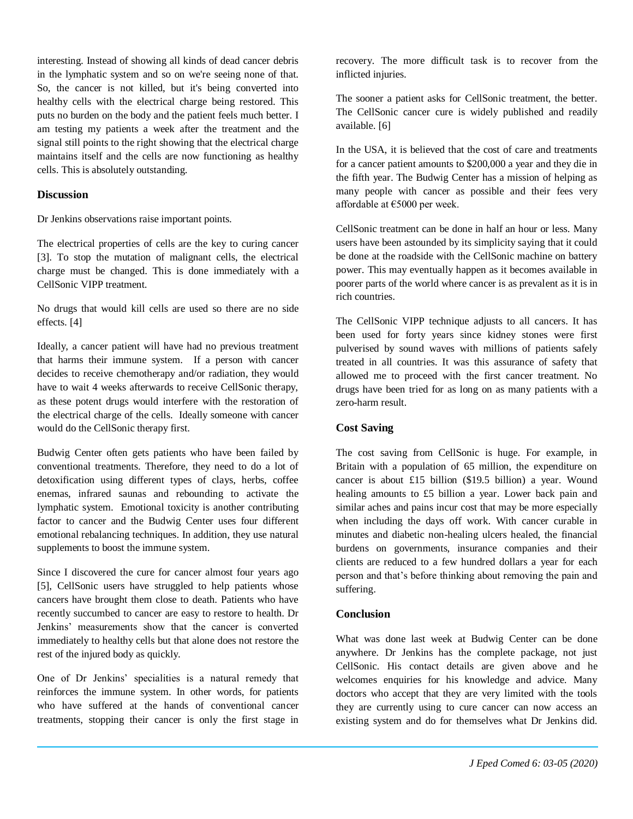interesting. Instead of showing all kinds of dead cancer debris in the lymphatic system and so on we're seeing none of that. So, the cancer is not killed, but it's being converted into healthy cells with the electrical charge being restored. This puts no burden on the body and the patient feels much better. I am testing my patients a week after the treatment and the signal still points to the right showing that the electrical charge maintains itself and the cells are now functioning as healthy cells. This is absolutely outstanding.

#### **Discussion**

Dr Jenkins observations raise important points.

The electrical properties of cells are the key to curing cancer [3]. To stop the mutation of malignant cells, the electrical charge must be changed. This is done immediately with a CellSonic VIPP treatment.

No drugs that would kill cells are used so there are no side effects. [4]

Ideally, a cancer patient will have had no previous treatment that harms their immune system. If a person with cancer decides to receive chemotherapy and/or radiation, they would have to wait 4 weeks afterwards to receive CellSonic therapy, as these potent drugs would interfere with the restoration of the electrical charge of the cells. Ideally someone with cancer would do the CellSonic therapy first.

Budwig Center often gets patients who have been failed by conventional treatments. Therefore, they need to do a lot of detoxification using different types of clays, herbs, coffee enemas, infrared saunas and rebounding to activate the lymphatic system. Emotional toxicity is another contributing factor to cancer and the Budwig Center uses four different emotional rebalancing techniques. In addition, they use natural supplements to boost the immune system.

Since I discovered the cure for cancer almost four years ago [5], CellSonic users have struggled to help patients whose cancers have brought them close to death. Patients who have recently succumbed to cancer are easy to restore to health. Dr Jenkins' measurements show that the cancer is converted immediately to healthy cells but that alone does not restore the rest of the injured body as quickly.

One of Dr Jenkins' specialities is a natural remedy that reinforces the immune system. In other words, for patients who have suffered at the hands of conventional cancer treatments, stopping their cancer is only the first stage in

recovery. The more difficult task is to recover from the inflicted injuries.

The sooner a patient asks for CellSonic treatment, the better. The CellSonic cancer cure is widely published and readily available. [6]

In the USA, it is believed that the cost of care and treatments for a cancer patient amounts to \$200,000 a year and they die in the fifth year. The Budwig Center has a mission of helping as many people with cancer as possible and their fees very affordable at €5000 per week.

CellSonic treatment can be done in half an hour or less. Many users have been astounded by its simplicity saying that it could be done at the roadside with the CellSonic machine on battery power. This may eventually happen as it becomes available in poorer parts of the world where cancer is as prevalent as it is in rich countries.

The CellSonic VIPP technique adjusts to all cancers. It has been used for forty years since kidney stones were first pulverised by sound waves with millions of patients safely treated in all countries. It was this assurance of safety that allowed me to proceed with the first cancer treatment. No drugs have been tried for as long on as many patients with a zero-harm result.

#### **Cost Saving**

The cost saving from CellSonic is huge. For example, in Britain with a population of 65 million, the expenditure on cancer is about £15 billion (\$19.5 billion) a year. Wound healing amounts to £5 billion a year. Lower back pain and similar aches and pains incur cost that may be more especially when including the days off work. With cancer curable in minutes and diabetic non-healing ulcers healed, the financial burdens on governments, insurance companies and their clients are reduced to a few hundred dollars a year for each person and that's before thinking about removing the pain and suffering.

## **Conclusion**

What was done last week at Budwig Center can be done anywhere. Dr Jenkins has the complete package, not just CellSonic. His contact details are given above and he welcomes enquiries for his knowledge and advice. Many doctors who accept that they are very limited with the tools they are currently using to cure cancer can now access an existing system and do for themselves what Dr Jenkins did.